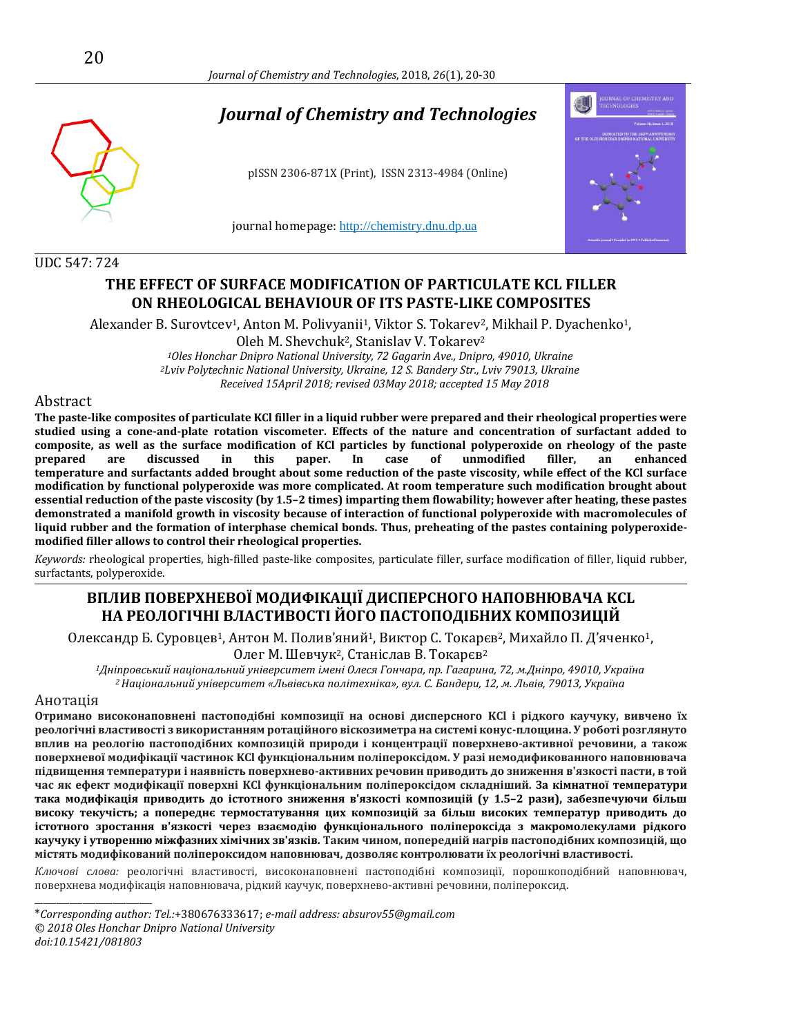# *Journal of Chemistry and Technologies*

pISSN 2306-871X (Print), ISSN 2313-4984 (Online)

journal homepage: [http://chemistry.dnu.dp.ua](http://chemistry.dnu.dp.ua/)

#### UDC 547: 724

## **THE EFFECT OF SURFACE MODIFICATION OF PARTICULATE KCL FILLER ON RHEOLOGICAL BEHAVIOUR OF ITS PASTE-LIKE COMPOSITES**

Alexander B. Surovtcev<sup>1</sup>, Anton M. Polivyanii<sup>1</sup>, Viktor S. Tokarev<sup>2</sup>, Mikhail P. Dyachenko<sup>1</sup>, Oleh M. Shevchuk2, Stanislav V. Tokarev<sup>2</sup> *<sup>1</sup>Oles Honchar Dnipro National University, 72 Gagarin Ave., Dnipro, 49010, Ukraine <sup>2</sup>Lviv Polytechnic National University, Ukraine, 12 S. Bandery Str., Lviv 79013, Ukraine*

*Received 15April 2018; revised 03May 2018; accepted 15 May 2018*

### Abstract

**The paste-like composites of particulate KCl filler in a liquid rubber were prepared and their rheological properties were studied using a cone-and-plate rotation viscometer. Effects of the nature and concentration of surfactant added to composite, as well as the surface modification of KCl particles by functional polyperoxide on rheology of the paste prepared are discussed in this paper. In case of unmodified filler, an enhanced temperature and surfactants added brought about some reduction of the paste viscosity, while effect of the KCl surface modification by functional polyperoxide was more complicated. At room temperature such modification brought about essential reduction of the paste viscosity (by 1.5–2 times) imparting them flowability; however after heating, these pastes demonstrated a manifold growth in viscosity because of interaction of functional polyperoxide with macromolecules of liquid rubber and the formation of interphase chemical bonds. Thus, preheating of the pastes containing polyperoxidemodified filler allows to control their rheological properties.**

*Keywords:* rheological properties, high-filled paste-like composites, particulate filler, surface modification of filler, liquid rubber, surfactants, polyperoxide.

## **ВПЛИВ ПОВЕРХНЕВОЇ МОДИФІКАЦІЇ ДИСПЕРСНОГО НАПОВНЮВАЧА KCL НА РЕОЛОГІЧНІ ВЛАСТИВОСТІ ЙОГО ПАСТОПОДІБНИХ КОМПОЗИЦІЙ**

Олександр Б. Суровцев1, Aнтoн M. Полив'яний1, Виктор С. Toкaрєв2, Mихайло П. Д'яченко1, Oлег M. Шевчук2, Станіслав В. Toкaрєв<sup>2</sup>

*<sup>1</sup>Дніпровський національний університет імені Олеся Гончара, пр. Гагарина, 72, м.Дніпро, 49010, Україна <sup>2</sup>Національний університет «Львівська політехніка», вул. С. Бандери, 12, м. Львів, 79013, Україна*

#### Анотація

\_\_\_\_\_\_\_\_\_\_\_\_\_\_\_\_\_\_\_\_\_\_\_\_\_\_\_

**Отримано високонаповнені пастоподібні композиції на основі дисперсного KCl і рідкого каучуку, вивчено їх реологічні властивості з використанням ротаційного віскозиметра на системі конус-площина. У роботі розглянуто вплив на реологію пастоподібних композицій природи і концентрації поверхнево-активної речовини, а також поверхневої модифікації частинок KCl функціональним поліпероксідом. У разі немодификованного наповнювача підвищення температури і наявність поверхнево-активних речовин приводить до зниження в'язкості пасти, в той час як ефект модифікації поверхні KCl функціональним поліпероксідом складніший. За кімнатної температури така модифікація приводить до істотного зниження в'язкості композицій (у 1.5–2 рази), забезпечуючи більш високу текучість; а попереднє термостатування цих композицій за більш високих температур приводить до істотного зростання в'язкості через взаємодію функціонального поліпероксіда з макромолекулами рідкого каучуку і утворенню міжфазних хімічних зв'язків. Таким чином, попередній нагрів пастоподібних композицій, що містять модифікований поліпероксидом наповнювач, дозволяє контролювати їх реологічні властивості.**

*Ключові слова:* реологічні властивості, високонаповнені пастоподібні композиції, порошкоподібний наповнювач, поверхнева модифікація наповнювача, рідкий каучук, поверхнево-активні речовини, поліпероксид.

\**Corresponding author: Tel.:*+380676333617; *e-mail address: absurov55@gmail.com © 2018 Oles Honchar Dnipro National University doi:10.15421/081803*



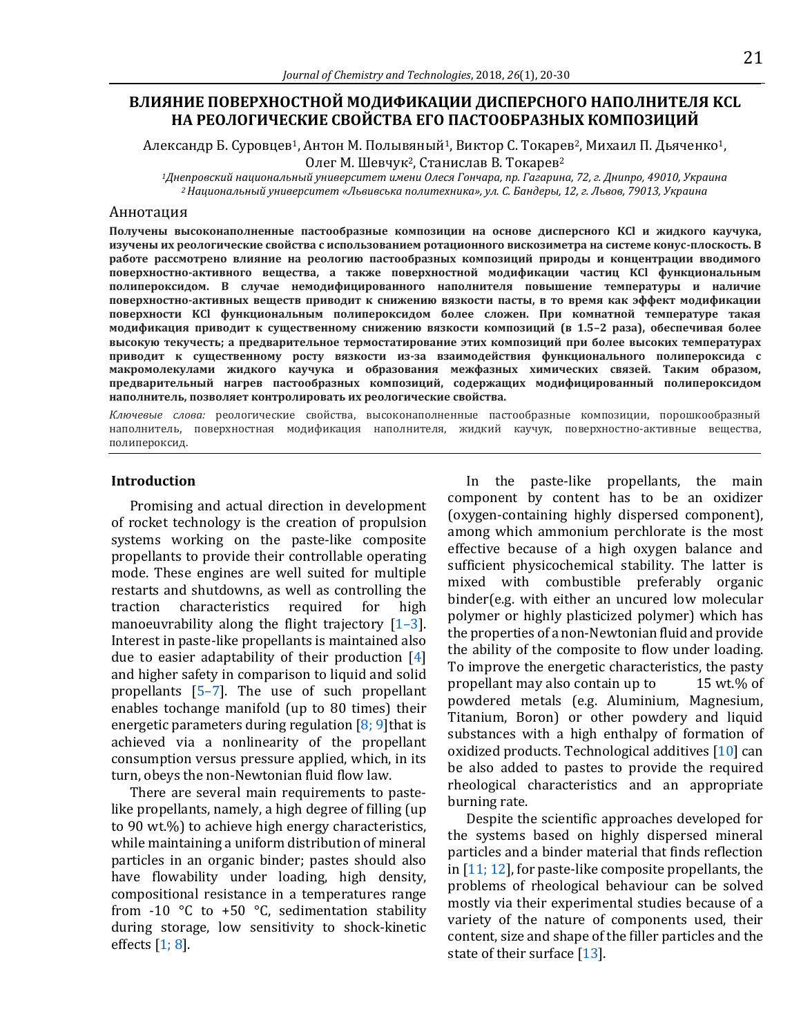## **ВЛИЯНИЕ ПОВЕРХНОСТНОЙ МОДИФИКАЦИИ ДИСПЕРСНОГО НАПОЛНИТЕЛЯ KCL НА РЕОЛОГИЧЕСКИЕ СВОЙСТВА ЕГО ПАСТООБРАЗНЫХ КОМПОЗИЦИЙ**

Александр Б. Суровцев<sup>1</sup>, Антон М. Полывяный<sup>1</sup>, Виктор С. Токарев<sup>2</sup>, Михаил П. Дьяченко<sup>1</sup>, Олег М. Шевчук<sup>2</sup>, Станислав В. Токарев<sup>2</sup>

*<sup>1</sup>Днепровский национальный университет имени Олеся Гончара, пр. Гагарина, 72, г. Днипро, 49010, Украина <sup>2</sup>Национальный университет «Львивська политехника», ул. С. Бандеры, 12, г. Львов, 79013, Украина*

#### Аннотация

**Получены высоконаполненные пастообразные композиции на основе дисперсного KCl и жидкого каучука, изучены их реологические свойства с использованием ротационного вискозиметра на системе конус-плоскость. В работе рассмотрено влияние на реологию пастообразных композиций природы и концентрации вводимого поверхностно-активного вещества, а также поверхностной модификации частиц KCl функциональным полипероксидом. В случае немодифицированного наполнителя повышение температуры и наличие поверхностно-активных веществ приводит к снижению вязкости пасты, в то время как эффект модификации поверхности KCl функциональным полипероксидом более сложен. При комнатной температуре такая модификация приводит к существенному снижению вязкости композиций (в 1.5–2 раза), обеспечивая более высокую текучесть; а предварительное термостатирование этих композиций при более высоких температурах приводит к существенному росту вязкости из-за взаимодействия функционального полипероксида с макромолекулами жидкого каучука и образования межфазных химических связей. Таким образом, предварительный нагрев пастообразных композиций, содержащих модифицированный полипероксидом наполнитель, позволяет контролировать их реологические свойства.**

*Ключевые слова:* реологические свойства, высоконаполненные пастообразные композиции, порошкообразный наполнитель, поверхностная модификация наполнителя, жидкий каучук, поверхностно-активные вещества, полипероксид.

#### **Introduction**

Promising and actual direction in development of rocket technology is the creation of propulsion systems working on the paste-like composite propellants to provide their controllable operating mode. These engines are well suited for multiple restarts and shutdowns, as well as controlling the traction characteristics required for high manoeuvrability along the flight trajectory  $[1-3]$  $[1-3]$ . Interest in paste-like propellants is maintained also due to easier adaptability of their production [\[4\]](#page-9-0) and higher safety in comparison to liquid and solid propellants [\[5](#page-9-0)–7]. The use of such propellant enables tochange manifold (up to 80 times) their energetic parameters during regulation  $[8; 9]$ that is achieved via a nonlinearity of the propellant consumption versus pressure applied, which, in its turn, obeys the non-Newtonian fluid flow law.

There are several main requirements to pastelike propellants, namely, a high degree of filling (up to 90 wt.%) to achieve high energy characteristics, while maintaining a uniform distribution of mineral particles in an organic binder; pastes should also have flowability under loading, high density, compositional resistance in a temperatures range from -10  $\degree$ C to +50  $\degree$ C, sedimentation stability during storage, low sensitivity to shock-kinetic effects [\[1; 8\]](#page-9-0).

In the paste-like propellants, the main component by content has to be an oxidizer (oxygen-containing highly dispersed component), among which ammonium perchlorate is the most effective because of a high oxygen balance and sufficient physicochemical stability. The latter is mixed with combustible preferably organic binder(e.g. with either an uncured low molecular polymer or highly plasticized polymer) which hаs the properties of a non-Newtonian fluid and provide the ability of the composite to flow under loading. To improve the energetic characteristics, the pasty propellant may also contain up to 15 wt.% of powdered metals (e.g. Aluminium, Magnesium, Titanium, Boron) or other powdery and liquid substances with a high enthalpy of formation of oxidized products. Technological additives [\[10\]](#page-9-0) can be also added to pastes to provide the required rheological characteristics and an appropriate burning rate.

Despite the scientific approaches developed for the systems based on highly dispersed mineral particles and a binder material that finds reflection in  $[11; 12]$ , for paste-like composite propellants, the problems of rheological behaviour can be solved mostly via their experimental studies because of a variety of the nature of components used, their content, size and shape of the filler particles and the state of their surface [\[13\]](#page-9-0).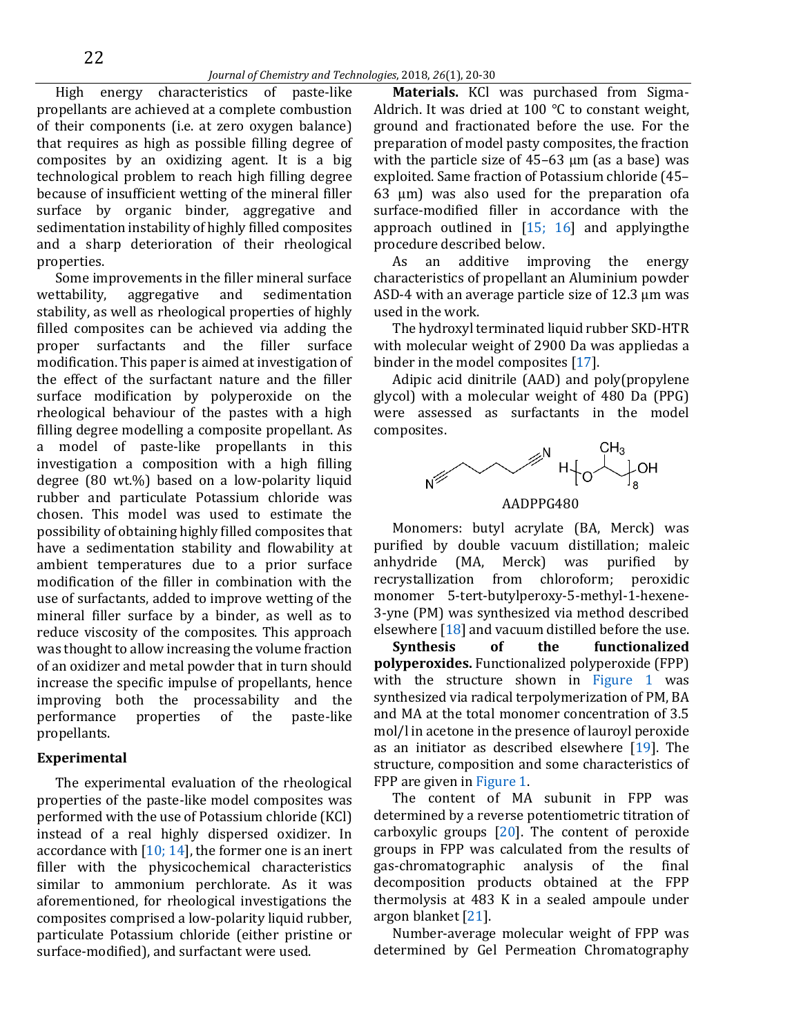High energy characteristics of paste-like propellants are achieved at a complete combustion of their components (i.e. at zero oxygen balance) that requires as high as possible filling degree of composites by an oxidizing agent. It is a big technological problem to reach high filling degree because of insufficient wetting of the mineral filler surface by organic binder, aggregative and sedimentation instability of highly filled composites and a sharp deterioration of their rheological properties.

Some improvements in the filler mineral surface wettability, aggregative and sedimentation stability, as well as rheological properties of highly filled composites can be achieved via adding the proper surfactants and the filler surface modification. This paper is aimed at investigation of the effect of the surfactant nature and the filler surface modification by polyperoxide on the rheological behaviour of the pastes with a high filling degree modelling a composite propellant. As a model of paste-like propellants in this investigation a composition with a high filling degree (80 wt.%) based on a low-polarity liquid rubber and particulate Potassium chloride was chosen. This model was used to estimate the possibility of obtaining highly filled composites that have a sedimentation stability and flowability at ambient temperatures due to a prior surface modification of the filler in combination with the use of surfactants, added to improve wetting of the mineral filler surface by a binder, as well as to reduce viscosity of the composites. This approach was thought to allow increasing the volume fraction of an oxidizer and metal powder that in turn should increase the specific impulse of propellants, hence improving both the processability and the performance properties of the paste-like propellants.

#### **Experimental**

The experimental evaluation of the rheological properties of the paste-like model composites was performed with the use of Potassium chloride (KCl) instead of a real highly dispersed oxidizer. In accordance with  $[10; 14]$ , the former one is an inert filler with the physicochemical characteristics similar to ammonium perchlorate. As it was aforementioned, for rheological investigations the composites comprised a low-polarity liquid rubber, particulate Potassium chloride (either pristine or surface-modified), and surfactant were used.

**Materials.** KCl was purchased from Sigma-Aldrich. It was dried at 100 °C to constant weight, ground and fractionated before the use. For the preparation of model pasty composites, the fraction with the particle size of  $45-63 \mu m$  (as a base) was exploited. Same fraction of Potassium chloride (45– 63 μm) was also used for the preparation ofa surface-modified filler in accordance with the approach outlined in  $[15; 16]$  and applying the procedure described below.

As an additive improving the energy characteristics of propellant an Aluminium powder ASD-4 with an average particle size of 12.3 µm was used in the work.

The hydroxyl terminated liquid rubber SKD-HTR with molecular weight of 2900 Da was appliedas a binder in the model composites [\[17\]](#page-9-0).

Adipic acid dinitrile (AAD) and poly(propylene glycol) with a molecular weight of 480 Da (PPG) were assessed as surfactants in the model composites.



Monomers: butyl acrylate (BA, Merck) was purified by double vacuum distillation; maleic anhydride (MA, Merck) was purified by recrystallization from chloroform; peroxidic monomer 5-tert-butylperoxy-5-methyl-1-hexene-3-yne (PM) was synthesized via method described elsewhere [\[18\]](#page-9-0) and vacuum distilled before the use.

**Synthesis of the functionalized polyperoxides.** Functionalized polyperoxide (FPP) with the structure shown in [Figure](#page-3-0) 1 was synthesized via radical terpolymerization of PM, BA and MA at the total monomer concentration of 3.5 mol/l in acetone in the presence of lauroyl peroxide as an initiator as described elsewhere  $[19]$ . The structure, composition and some characteristics of FPP are given in [Figure](#page-3-0) 1.

The content of MA subunit in FPP was determined by a reverse potentiometric titration of carboxylic groups  $[20]$ . The content of peroxide groups in FPP was calculated from the results of gas-chromatographic analysis of the final decomposition products obtained at the FPP thermolysis at 483 K in a sealed ampoule under argon blanket [\[21\]](#page-9-0).

Number-average molecular weight of FPP was determined by Gel Permeation Chromatography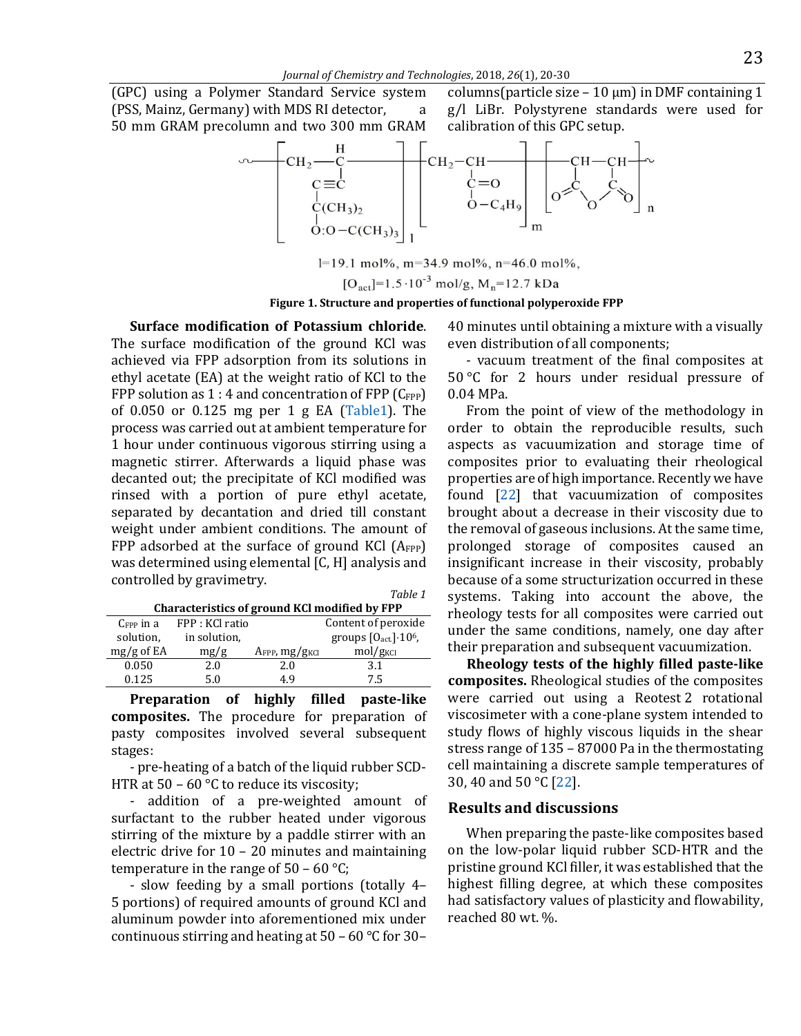<span id="page-3-0"></span>(GPC) using a Polymer Standard Service system (PSS, Mainz, Germany) with MDS RI detector, 50 mm GRAM precolumn and two 300 mm GRAM columns(particle size  $-10 \mu m$ ) in DMF containing 1 g/l LiBr. Polystyrene standards were used for calibration of this GPC setup.



 $l=19.1$  mol%, m=34.9 mol%, n=46.0 mol%,  $[O<sub>act</sub>] = 1.5 \cdot 10^{-3}$  mol/g, M<sub>n</sub>=12.7 kDa

## **Figure 1. Structure and properties of functional polyperoxide FPP**

*Table 1*

**Surface modification of Potassium chloride**. The surface modification of the ground KCl was achieved via FPP adsorption from its solutions in ethyl acetate (EA) at the weight ratio of KCl to the FPP solution as  $1:4$  and concentration of FPP ( $C_{\text{FPP}}$ ) of 0.050 or 0.125 mg per 1 g EA [\(Table1\)](#page-3-1). The process was carried out at ambient temperature for 1 hour under continuous vigorous stirring using a magnetic stirrer. Afterwards a liquid phase was decanted out; the precipitate of KCl modified was rinsed with a portion of pure ethyl acetate, separated by decantation and dried till constant weight under ambient conditions. The amount of FPP adsorbed at the surface of ground KCl  $(A_{FPP})$ was determined using elemental [C, H] analysis and controlled by gravimetry.

<span id="page-3-1"></span>

| Characteristics of ground KCl modified by FPP |                 |                           |                             |
|-----------------------------------------------|-----------------|---------------------------|-----------------------------|
| $C_{FPP}$ in a                                | FPP : KCl ratio |                           | Content of peroxide         |
| solution,                                     | in solution,    |                           | groups $[0act] \cdot 106$ , |
| $mg/g$ of EA                                  | mg/g            | AFPP, mg/g <sub>KCl</sub> | mol/g <sub>KCl</sub>        |
| 0.050                                         | 2.0             | 2.0                       | 3.1                         |
| 0.125                                         | 50              | 4 Q                       | 7.5                         |

**Preparation of highly filled paste-like composites.** The procedure for preparation of pasty composites involved several subsequent stages:

- pre-heating of a batch of the liquid rubber SCD-HTR at  $50 - 60$  °C to reduce its viscosity;

- addition of a pre-weighted amount of surfactant to the rubber heated under vigorous stirring of the mixture by a paddle stirrer with an electric drive for 10 – 20 minutes and maintaining temperature in the range of  $50 - 60$  °C;

- slow feeding by a small portions (totally 4– 5 portions) of required amounts of ground KCl and аluminum powder into aforementioned mix under continuous stirring and heating at 50 – 60 °C for 30–

40 minutes until obtaining a mixture with a visually even distribution of all components;

- vacuum treatment of the final composites at 50 °C for 2 hours under residual pressure of 0.04 MPa.

From the point of view of the methodology in order to obtain the reproducible results, such aspects as vacuumization and storage time of composites prior to evaluating their rheological properties are of high importance. Recently we have found [\[22\]](#page-9-0) that vacuumization of composites brought about a decrease in their viscosity due to the removal of gaseous inclusions. At the same time, prolonged storage of composites caused an insignificant increase in their viscosity, probably because of a some structurization occurred in these systems. Taking into account the above, the rheology tests for all composites were carried out under the same conditions, namely, one day after their preparation and subsequent vacuumization.

**Rheology tests of the highly filled paste-like composites.** Rheological studies of the composites were carried out using a Reotest 2 rotational viscosimeter with a cone-plane system intended to study flows of highly viscous liquids in the shear stress range of 135 – 87000 Pa in the thermostating cell maintaining a discrete sample temperatures of 30, 40 and 50 °C [\[22\]](#page-9-0).

## **Results and discussions**

When preparing the paste-like composites based on the low-polar liquid rubber SCD-HTR and the pristine ground KCl filler, it was established that the highest filling degree, at which these composites had satisfactory values of plasticity and flowability, reached 80 wt. %.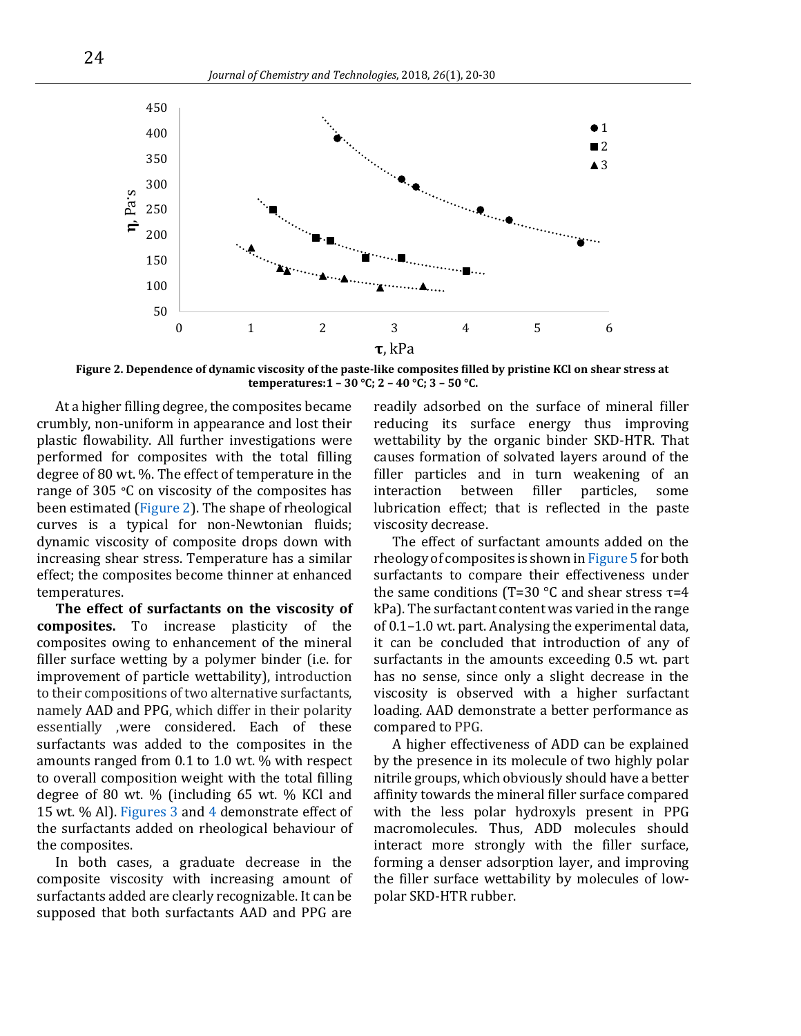<span id="page-4-0"></span>

**Figure 2. Dependence of dynamic viscosity of the paste-like composites filled by pristine KCl on shear stress at temperatures:1 – 30 °C; 2 – 40 °C; 3 – 50 °C.**

At a higher filling degree, the composites became crumbly, non-uniform in appearance and lost their plastic flowability. All further investigations were performed for composites with the total filling degree of 80 wt. %. The effect of temperature in the range of 305 **°**C on viscosity of the composites has been estimated [\(Figure 2\)](#page-4-0). The shape of rheological curves is a typical for non-Newtonian fluids; dynamic viscosity of composite drops down with increasing shear stress. Temperature has a similar effect; the composites become thinner at enhanced temperatures.

**The effect of surfactants on the viscosity of composites.** To increase plasticity of the composites owing to enhancement of the mineral filler surface wetting by a polymer binder (i.e. for improvement of particle wettability), introduction to their compositions of two alternative surfactants, namely AAD and PPG, which differ in their polarity essentially ,were considered. Each of these surfactants was added to the composites in the amounts ranged from 0.1 to 1.0 wt. % with respect to overall composition weight with the total filling degree of 80 wt. % (including 65 wt. % KCl and 15 wt. % Al). [Figures](#page-5-0) 3 and [4](#page-5-1) demonstrate effect of the surfactants added on rheological behaviour of the composites.

In both cases, a graduate decrease in the composite viscosity with increasing amount of surfactants added are clearly recognizable. It can be supposed that both surfactants AAD and PPG are

readily adsorbed on the surface of mineral filler reducing its surface energy thus improving wettability by the organic binder SKD-HTR. That causes formation of solvated layers around of the filler particles and in turn weakening of an interaction between filler particles, some lubrication effect; that is reflected in the paste viscosity decrease.

The effect of surfactant amounts added on the rheology of composites is shown i[n Figure 5](#page-5-2) for both surfactants to compare their effectiveness under the same conditions (T=30 °C and shear stress  $τ=4$ kPa). The surfactant content was varied in the range of 0.1–1.0 wt. part. Analysing the experimental data, it can be concluded that introduction of any of surfactants in the amounts exceeding 0.5 wt. part has no sense, since only a slight decrease in the viscosity is observed with a higher surfactant loading. AAD demonstrate a better performance as compared to PPG.

A higher effectiveness of ADD can be explained by the presence in its molecule of two highly polar nitrile groups, which obviously should have a better affinity towards the mineral filler surface compared with the less polar hydroxyls present in PPG macromolecules. Thus, ADD molecules should interact more strongly with the filler surface, forming a denser adsorption layer, and improving the filler surface wettability by molecules of lowpolar SKD-HTR rubber.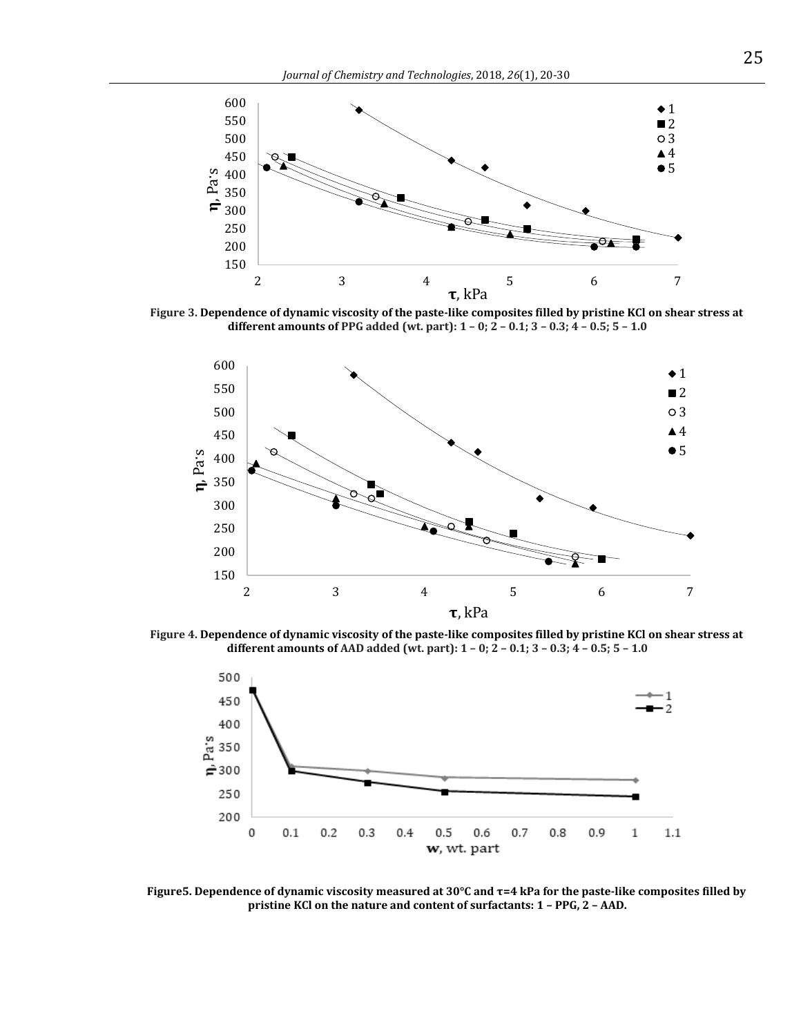<span id="page-5-0"></span>

<span id="page-5-1"></span>**Figure 3. Dependence of dynamic viscosity of the paste-like composites filled by pristine KCl on shear stress at different amounts of PPG added (wt. part): 1 – 0; 2 – 0.1; 3 – 0.3; 4 – 0.5; 5 – 1.0**



<span id="page-5-2"></span>**Figure 4. Dependence of dynamic viscosity of the paste-like composites filled by pristine KCl on shear stress at different amounts of AAD added (wt. part): 1 – 0; 2 – 0.1; 3 – 0.3; 4 – 0.5; 5 – 1.0**



**Figure5. Dependence of dynamic viscosity measured at 30°C and τ=4 kPa for the paste-like composites filled by pristine KCl on the nature and content of surfactants: 1 – PPG, 2 – AAD.**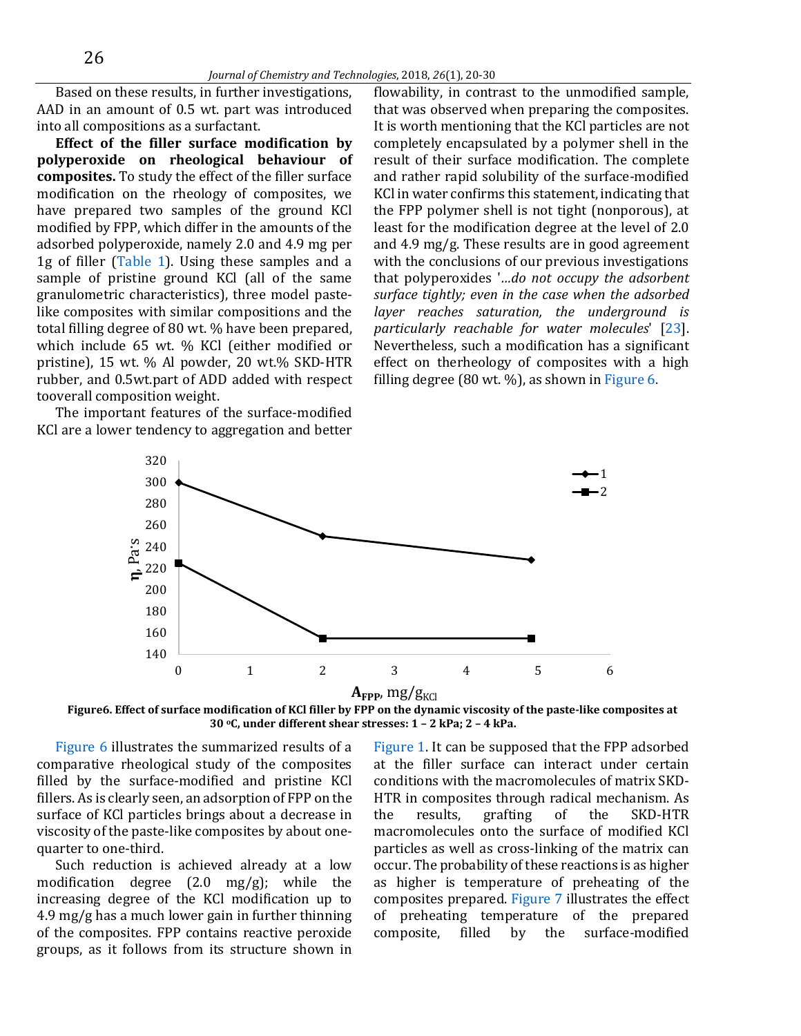Based on these results, in further investigations, AAD in an amount of 0.5 wt. part was introduced into all compositions as a surfactant.

**Effect of the filler surface modification by polyperoxide on rheological behaviour of composites.** To study the effect of the filler surface modification on the rheology of composites, we have prepared two samples of the ground KCl modified by FPP, which differ in the amounts of the adsorbed polyperoxide, namely 2.0 and 4.9 mg per 1g of filler [\(Table 1\)](#page-3-1). Using these samples and a sample of pristine ground KCl (all of the same granulometric characteristics), three model pastelike composites with similar compositions and the total filling degree of 80 wt. % have been prepared, which include 65 wt. % KCl (either modified or pristine), 15 wt. % Al powder, 20 wt.% SKD-HTR rubber, and 0.5wt.part of ADD added with respect tooverall composition weight.

<span id="page-6-0"></span>The important features of the surface-modified KCl are a lower tendency to aggregation and better

flowability, in contrast to the unmodified sample, that was observed when preparing the composites. It is worth mentioning that the KCl particles are not completely encapsulated by a polymer shell in the result of their surface modification. The complete and rather rapid solubility of the surface-modified KCl in water confirms this statement, indicating that the FPP polymer shell is not tight (nonporous), at least for the modification degree at the level of 2.0 and 4.9 mg/g. These results are in good agreement with the conclusions of our previous investigations that polyperoxides '*…do not occupy the adsorbent surface tightly; even in the case when the adsorbed layer reaches saturation, the underground is particularly reachable for water molecules*' [\[23\]](#page-9-0). Nevertheless, such a modification has a significant effect on therheology of composites with a high filling degree (80 wt. %), as shown i[n Figure](#page-6-0) 6.



**Figure6. Effect of surface modification of KCl filler by FPP on the dynamic viscosity of the paste-like composites at 30 <sup>о</sup>С, under different shear stresses: 1 – 2 kPa; 2 – 4 kPa.**

[Figure 6](#page-6-0) illustrates the summarized results of a comparative rheological study of the composites filled by the surface-modified and pristine KCl fillers. As is clearly seen, an adsorption of FPP on the surface of KCl particles brings about a decrease in viscosity of the paste-like composites by about onequarter to one-third.

Such reduction is achieved already at a low modification degree (2.0 mg/g); while the increasing degree of the KCl modification up to 4.9 mg/g has a much lower gain in further thinning of the composites. FPP contains reactive peroxide groups, as it follows from its structure shown in [Figure 1.](#page-3-0) It can be supposed that the FPP adsorbed at the filler surface can interact under certain conditions with the macromolecules of matrix SKD-HTR in composites through radical mechanism. As the results, grafting of the SKD-HTR macromolecules onto the surface of modified KCl particles as well as cross-linking of the matrix can occur. The probability of these reactions is as higher as higher is temperature of preheating of the composites prepared. [Figure 7](#page-7-0) illustrates the effect of preheating temperature of the prepared composite, filled by the surface-modified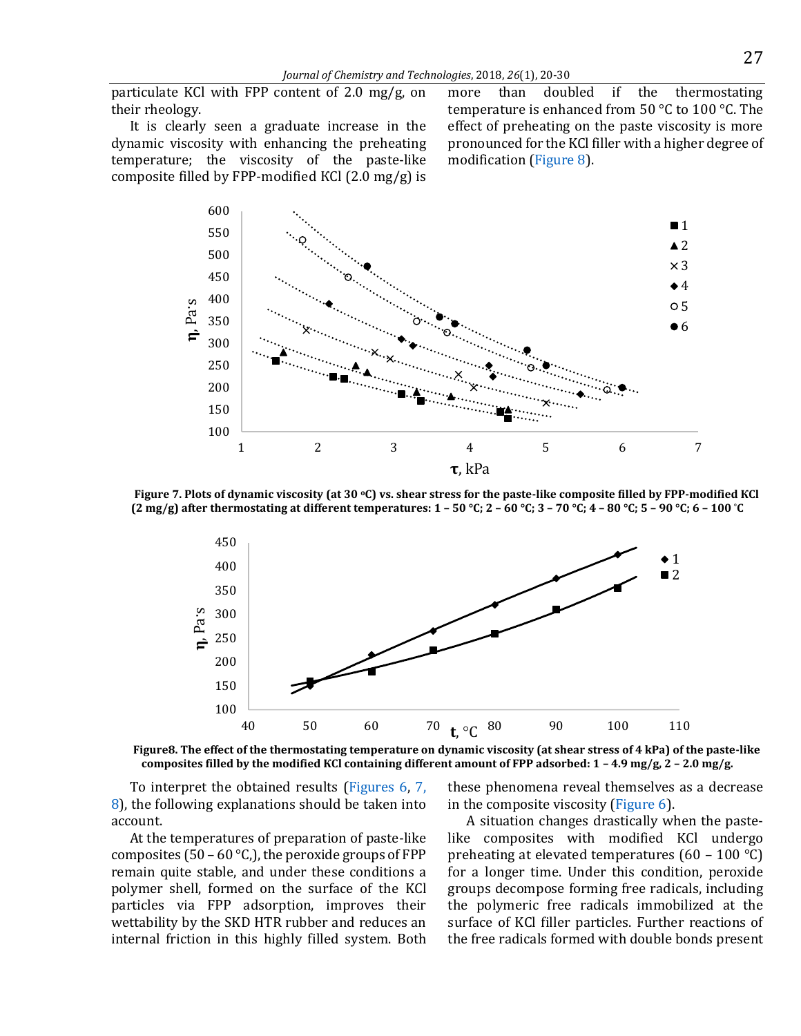particulate KCl with FPP content of 2.0 mg/g, on their rheology.

It is clearly seen a graduate increase in the dynamic viscosity with enhancing the preheating temperature; the viscosity of the paste-like composite filled by FPP-modified КСl (2.0 mg/g) is

more than doubled if the thermostating temperature is enhanced from 50  $\degree$ C to 100  $\degree$ C. The effect of preheating on the paste viscosity is more pronounced for the KCl filler with a higher degree of modification [\(Figure 8\)](#page-7-1).

<span id="page-7-0"></span>

<span id="page-7-1"></span>**Figure 7. Plots of dynamic viscosity (at 30 оС) vs. shear stress for the paste-like composite filled by FPP-modified КСl (2 mg/g) after thermostating at different temperatures: 1 – 50 °C; 2 – 60 °C; 3 – 70 °C; 4 – 80 °C; 5 – 90 °C; 6 – 100 °C**



**Figure8. The effect of the thermostating temperature on dynamic viscosity (at shear stress of 4 kPa) of the paste-like composites filled by the modified КСl containing different amount of FPP adsorbed: 1 – 4.9 mg/g, 2 – 2.0 mg/g.**

To interpret the obtained results [\(Figures 6,](#page-6-0) [7,](#page-7-0) [8\)](#page-7-1), the following explanations should be taken into account.

At the temperatures of preparation of paste-like composites (50 – 60 °C,), the peroxide groups of FPP remain quite stable, and under these conditions a polymer shell, formed on the surface of the KCl particles via FPP adsorption, improves their wettability by the SKD HTR rubber and reduces an internal friction in this highly filled system. Both these phenomena reveal themselves as a decrease in the composite viscosity [\(Figure 6\)](#page-6-0).

A situation changes drastically when the pastelike composites with modified KCl undergo preheating at elevated temperatures  $(60 - 100 \degree C)$ for a longer time. Under this condition, peroxide groups decompose forming free radicals, including the polymeric free radicals immobilized at the surface of KCl filler particles. Further reactions of the free radicals formed with double bonds present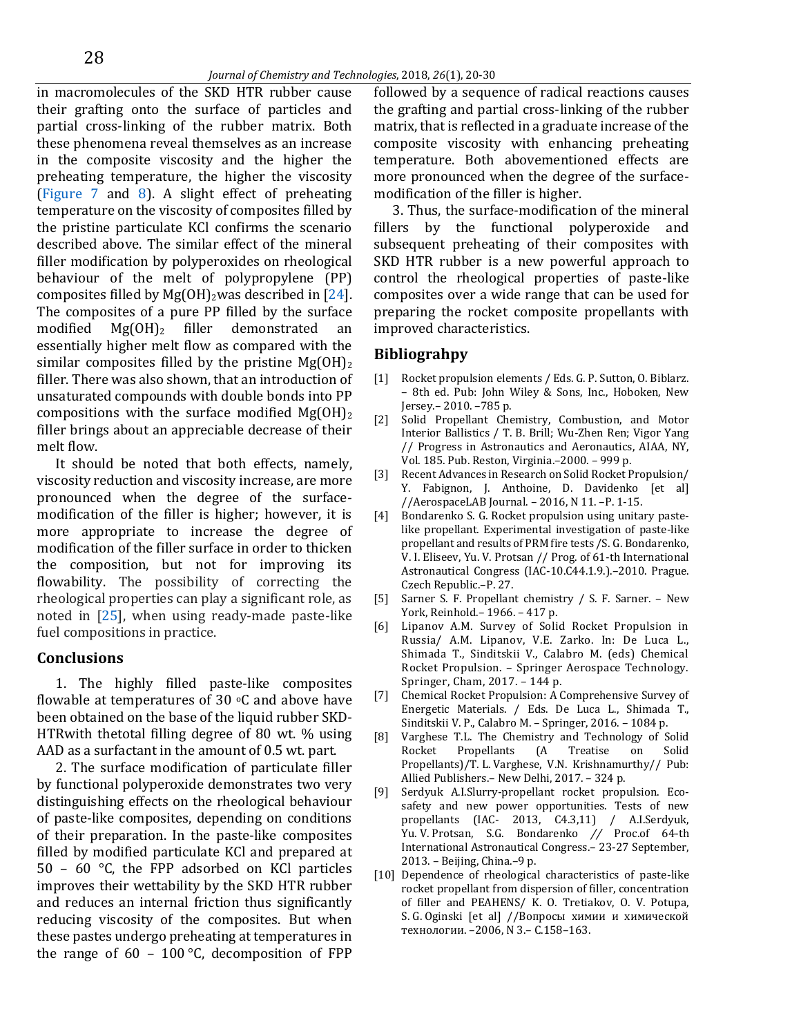in macromolecules of the SKD HTR rubber cause their grafting onto the surface of particles and partial cross-linking of the rubber matrix. Both these phenomena reveal themselves as an increase in the composite viscosity and the higher the preheating temperature, the higher the viscosity [\(Figure 7](#page-7-0) and [8\)](#page-7-1). A slight effect of preheating temperature on the viscosity of composites filled by the pristine particulate KCl confirms the scenario described above. The similar effect of the mineral filler modification by polyperoxides on rheological behaviour of the melt of polypropylene (PP) composites filled by Mg(OH)<sub>2</sub>was described in  $[24]$ . The composites of a pure PP filled by the surface modified  $Mg(OH)_2$  filler demonstrated an essentially higher melt flow as compared with the similar composites filled by the pristine  $Mg(OH)_2$ filler. There was also shown, that an introduction of unsaturated compounds with double bonds into PP compositions with the surface modified  $Mg(OH)_2$ filler brings about an appreciable decrease of their melt flow.

It should be noted that both effects, namely, viscosity reduction and viscosity increase, are more pronounced when the degree of the surfacemodification of the filler is higher; however, it is more appropriate to increase the degree of modification of the filler surface in order to thicken the composition, but not for improving its flowability. The possibility of correcting the rheological properties can play a significant role, as noted in [\[25\]](#page-9-0), when using ready-made paste-like fuel compositions in practice.

### **Conclusions**

1. The highly filled paste-like composites flowable at temperatures of 30  $\circ$ C and above have been obtained on the base of the liquid rubber SKD-HTRwith thetotal filling degree of 80 wt. % using AAD as a surfactant in the amount of 0.5 wt. part.

2. The surface modification of particulate filler by functional polyperoxide demonstrates two very distinguishing effects on the rheological behaviour of paste-like composites, depending on conditions of their preparation. In the paste-like composites filled by modified particulate KCl and prepared at 50 – 60 °C, the FPP adsorbed on KCl particles improves their wettability by the SKD HTR rubber and reduces an internal friction thus significantly reducing viscosity of the composites. But when these pastes undergo preheating at temperatures in the range of  $60 - 100$  °C, decomposition of FPP

followed by a sequence of radical reactions causes the grafting and partial cross-linking of the rubber matrix, that is reflected in a graduate increase of the composite viscosity with enhancing preheating temperature. Both abovementioned effects are more pronounced when the degree of the surfacemodification of the filler is higher.

3. Thus, the surface-modification of the mineral fillers by the functional polyperoxide and subsequent preheating of their composites with SKD HTR rubber is a new powerful approach to control the rheological properties of paste-like composites over a wide range that can be used for preparing the rocket composite propellants with improved characteristics.

## **Bibliograhpy**

- [1] Rocket propulsion elements / Eds. G. P. Sutton, O. Biblarz. – 8th ed. Pub: John Wiley & Sons, Inc., Hoboken, New Jersey.– 2010. –785 p.
- [2] Solid Propellant Chemistry, Combustion, and Motor Interior Ballistics / T. B. Brill; Wu-Zhen Ren; Vigor Yang // Progress in Astronautics and Aeronautics, AIAA, NY, Vol. 185. Pub. Reston, Virginia.–2000. – 999 p.
- [3] Recent Advances in Research on Solid Rocket Propulsion/ Y. Fabignon, J. Anthoine, D. Davidenko [et al] //AerospaceLAB Journal. – 2016, N 11. –P. 1-15.
- [4] Bondarenko S. G. Rocket propulsion using unitary pastelike propellant. Experimental investigation of paste-like propellant and results of PRM fire tests /S. G. Bondarenko, V. I. Eliseev, Yu. V. Protsan // Prog. of 61-th International Astronautical Congress (IAC-10.C44.1.9.).–2010. Prague. Czech Republic.–P. 27.
- [5] Sarner S. F. Propellant chemistry / S. F. Sarner. New York, Reinhold.– 1966. – 417 p.
- [6] Lipanov A.M. Survey of Solid Rocket Propulsion in Russia/ A.M. Lipanov, V.E. Zarko. In: De Luca L., Shimada T., Sinditskii V., Calabro M. (eds) Chemical Rocket Propulsion. – Springer Aerospace Technology. Springer, Cham, 2017. – 144 p.
- [7] Chemical Rocket Propulsion: A Comprehensive Survey of Energetic Materials. / Eds. De Luca L., Shimada T., Sinditskii V. P., Calabro M. – Springer, 2016. – 1084 p.
- [8] Varghese T.L. The Chemistry and Technology of Solid Rocket Propellants (A Treatise on Solid Propellants)/T. L. Varghese, V.N. Krishnamurthy// Pub: Allied Publishers.– New Delhi, 2017. – 324 p.
- [9] Serdyuk A.I.Slurry-propellant rocket propulsion. Ecosafety and new power opportunities. Tests of new propellants (IAC- 2013, C4.3,11) / A.I.Serdyuk, Yu. V. Protsan, S.G. Bondarenko *//* Proc.of 64-th International Astronautical Congress.– 23-27 September, 2013. – Beijing, China.–9 p.
- [10] Dependence of rheological characteristics of paste-like rocket propellant from dispersion of filler, concentration of filler and PEAHENS/ K. O. Tretiakov, O. V. Potupa, S. G. Oginski [et al] //Вопросы химии и химической технологии. –2006, N 3.– C.158–163.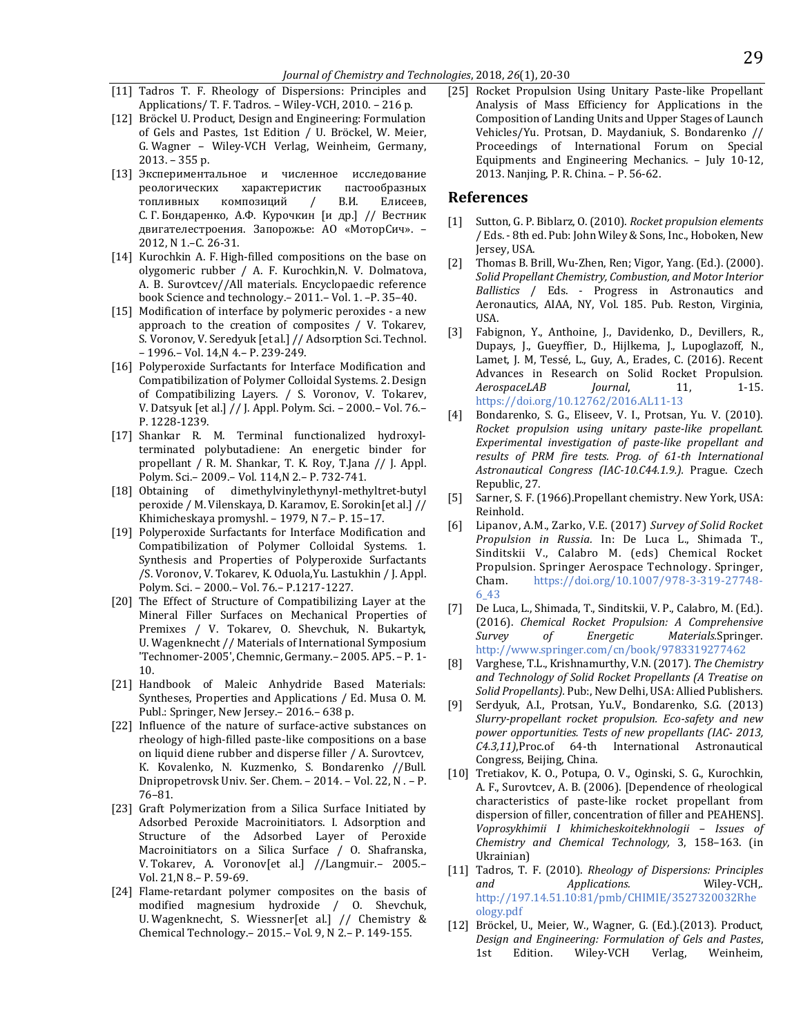- [11] Tadros T. F. Rheology of Dispersions: Principles and Applications/ T. F. Tadros. – Wiley-VCH, 2010. – 216 p.
- [12] Bröckel U. Product, Design and Engineering: Formulation of Gels and Pastes, 1st Edition / U. Bröckel, W. Meier, G. Wagner – Wiley-VCH Verlag, Weinheim, Germany, 2013. – 355 p.
- [13] Экспериментальное и численное исследование реологических характеристик пастообразных топливных композиций / В.И. Елисеев, С. Г. Бондаренко, А.Ф. Курочкин [и др.] // Вестник двигателестроения. Запорожье: АО «МоторСич». – 2012, N 1.–С. 26-31.
- [14] Kurochkin A. F. High-filled compositions on the base on olygomeric rubber / A. F. Kurochkin,N. V. Dolmatova, А.  B. Surovtcev//All materials. Encyclopaedic reference book Science and technology.– 2011.– Vol. 1. –P. 35–40.
- [15] Modification of interface by polymeric peroxides a new approach to the creation of composites / V. Tokarev, S. Voronov, V. Seredyuk [et al.] // Adsorption Sci. Technol. – 1996.– Vol. 14,N 4.– P. 239-249.
- [16] Polyperoxide Surfactants for Interface Modification and Compatibilization of Polymer Colloidal Systems. 2. Design of Compatibilizing Layers. / S. Voronov, V. Tokarev, V. Datsyuk [et al.] // J. Appl. Polym. Sci. – 2000.– Vol. 76.– P. 1228-1239.
- [17] Shankar R. M. Terminal functionalized hydroxylterminated polybutadiene: An energetic binder for propellant / R. M. Shankar, T. K. Roy, T.Jana // J. Appl. Polym. Sci.– 2009.– Vol. 114,N 2.– P. 732-741.
- [18] Obtaining of dimethylvinylethynyl-methyltret-butyl peroxide / M. Vilenskaya, D. Karamov, E. Sorokin[et al.] // Khimicheskaya promyshl. – 1979, N 7.– P. 15–17.
- [19] Polyperoxide Surfactants for Interface Modification and Compatibilization of Polymer Colloidal Systems. 1. Synthesis and Properties of Polyperoxide Surfactants /S. Voronov, V. Tokarev, K. Oduola,Yu. Lastukhin / J. Appl. Polym. Sci. – 2000.– Vol. 76.– P.1217-1227.
- [20] The Effect of Structure of Compatibilizing Layer at the Mineral Filler Surfaces on Mechanical Properties of Premixes / V. Tokarev, O. Shevchuk, N. Bukartyk, U. Wagenknecht // Materials of International Symposium 'Technomer-2005', Chemnic, Germany.– 2005. AP5. – P. 1- 10.
- [21] Handbook of Maleic Anhydride Based Materials: Syntheses, Properties and Applications / Ed. Musa O. M. Publ.: Springer, New Jersey.– 2016.– 638 p.
- [22] Influence of the nature of surface-active substances on rheology of high-filled paste-like compositions on a base on liquid diene rubber and disperse filler / А. Surovtcev, К. Kovalenko, N. Kuzmenko, S. Bondarenko //Bull. Dnipropetrovsk Univ. Ser. Chem. – 2014. – Vol. 22, N . – P. 76–81.
- [23] Graft Polymerization from a Silica Surface Initiated by Adsorbed Peroxide Macroinitiators. I. Adsorption and Structure of the Adsorbed Layer of Peroxide Macroinitiators on a Silica Surface / O. Shafranska, V. Tokarev, A. Voronov[et al.] //Langmuir.– 2005.– Vol. 21,N 8.– P. 59-69.
- [24] Flame-retardant polymer composites on the basis of modified magnesium hydroxide / O. Shevchuk, U. Wagenknecht, S. Wiessner[et al.] // Chemistry & Chemical Technology.– 2015.– Vol. 9, N 2.– P. 149-155.

[25] Rocket Propulsion Using Unitary Paste-like Propellant Analysis of Mass Efficiency for Applications in the Composition of Landing Units and Upper Stages of Launch Vehicles/Yu. Protsan, D. Maydaniuk, S. Bondarenko // Proceedings of International Forum on Special Equipments and Engineering Mechanics. – July 10-12, 2013. Nanjing, P. R. China. – P. 56-62.

#### <span id="page-9-0"></span>**References**

- [1] Sutton, G. P. Biblarz, O. (2010). *Rocket propulsion elements* / Eds. - 8th ed. Pub: John Wiley & Sons, Inc., Hoboken, New Jersey, USA.
- [2] Thomas B. Brill, Wu-Zhen, Ren; Vigor, Yang. (Ed.). (2000). *Solid Propellant Chemistry, Combustion, and Motor Interior Ballistics* / Eds. - Progress in Astronautics and Aeronautics, AIAA, NY, Vol. 185. Pub. Reston, Virginia, USA.
- [3] Fabignon, Y., Anthoine, J., Davidenko, D., Devillers, R., Dupays, J., Gueyffier, D., Hijlkema, J., Lupoglazoff, N., Lamet, J. M, Tessé, L., Guy, A., Erades, C. (2016). Recent Advances in Research on Solid Rocket Propulsion. *AerospaceLAB Journal*, 11, 1-15. [https://doi.org/1](https://doi.org/)0.12762/2016.AL11-13
- [4] Bondarenko, S. G., Eliseev, V. I., Protsan, Yu. V. (2010). *Rocket propulsion using unitary paste-like propellant. Experimental investigation of paste-like propellant and results of PRM fire tests. Prog. of 61-th International Astronautical Congress (IAC-10.C44.1.9.).* Prague. Czech Republic, 27.
- [5] Sarner, S. F. (1966).Propellant chemistry. New York, USA: Reinhold.
- [6] Lipanov, A.M., Zarko, V.E. (2017) *Survey of Solid Rocket Propulsion in Russia.* In: De Luca L., Shimada T., Sinditskii V., Calabro M. (eds) Chemical Rocket Propulsion. Springer Aerospace Technology. Springer, Cham. [https://doi.org/1](https://doi.org/)0.1007/978-3-319-27748- 6\_43
- [7] De Luca, L., Shimada, T., Sinditskii, V. P., Calabro, M. (Ed.). (2016). *Chemical Rocket Propulsion: A Comprehensive Survey of Energetic Materials.*Springer. <http://www.springer.com/cn/book/9783319277462>
- [8] Varghese, T.L., Krishnamurthy, V.N. (2017). *The Chemistry and Technology of Solid Rocket Propellants (A Treatise on Solid Propellants).* Pub:, New Delhi, USA: Allied Publishers.
- [9] Serdyuk, A.I., Protsan, Yu.V., Bondarenko, S.G. (2013) *Slurry-propellant rocket propulsion. Eco-safety and new power opportunities. Tests of new propellants (IAC- 2013, C4.3,11)*,Proc.of 64-th International Astronautical Congress, Beijing, China.
- [10] Tretiakov, K. O., Potupa, O. V., Oginski, S. G., Kurochkin, A. F., Surovtcev, А. B. (2006). [Dependence of rheological characteristics of paste-like rocket propellant from dispersion of filler, concentration of filler and PEAHENS]. *Voprosykhimii I khimicheskoitekhnologii – Issues of Chemistry and Chemical Technology,* 3, 158–163. (in Ukrainian)
- [11] Tadros, T. F. (2010). *Rheology of Dispersions: Principles and Applications.* Wiley-VCH,. [http://197.14.51.10:81/pmb/CHIMIE/3527320032Rhe](http://197.14.51.10:81/pmb/CHIMIE/3527320032Rheology.pdf) [ology.pdf](http://197.14.51.10:81/pmb/CHIMIE/3527320032Rheology.pdf)
- [12] Bröckel, U., Meier, W., Wagner, G. (Ed.).(2013). Product, *Design and Engineering: Formulation of Gels and Pastes*, 1st Edition. Wiley-VCH Verlag, Weinheim,